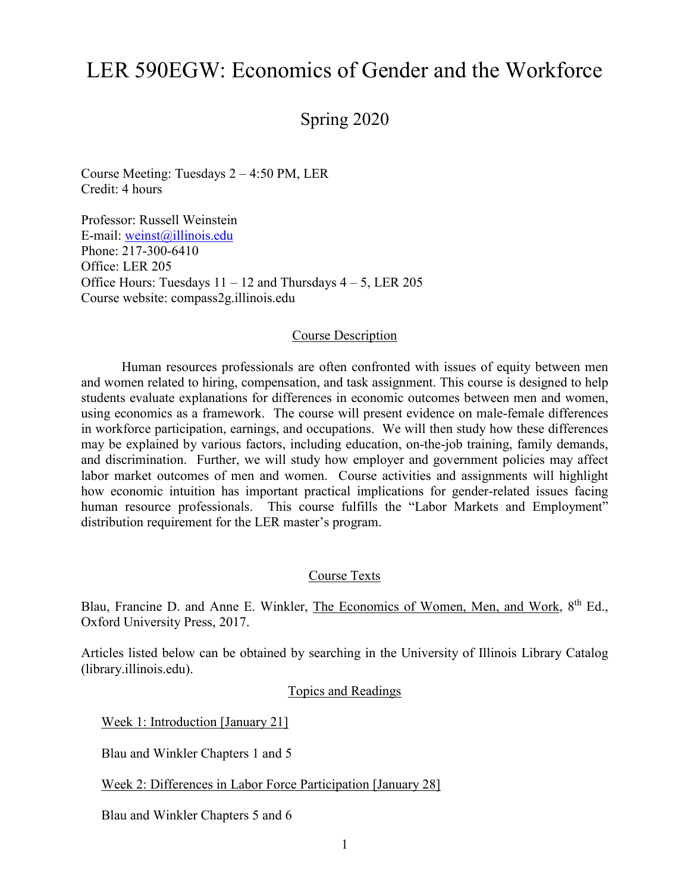# LER 590EGW: Economics of Gender and the Workforce

Spring 2020

Course Meeting: Tuesdays 2 – 4:50 PM, LER Credit: 4 hours

Professor: Russell Weinstein E-mail: [weinst@illinois.edu](mailto:weinst@illinois.edu) Phone: 217-300-6410 Office: LER 205 Office Hours: Tuesdays  $11 - 12$  and Thursdays  $4 - 5$ , LER 205 Course website: compass2g.illinois.edu

#### Course Description

Human resources professionals are often confronted with issues of equity between men and women related to hiring, compensation, and task assignment. This course is designed to help students evaluate explanations for differences in economic outcomes between men and women, using economics as a framework. The course will present evidence on male-female differences in workforce participation, earnings, and occupations. We will then study how these differences may be explained by various factors, including education, on-the-job training, family demands, and discrimination. Further, we will study how employer and government policies may affect labor market outcomes of men and women. Course activities and assignments will highlight how economic intuition has important practical implications for gender-related issues facing human resource professionals. This course fulfills the "Labor Markets and Employment" distribution requirement for the LER master's program.

#### Course Texts

Blau, Francine D. and Anne E. Winkler, The Economics of Women, Men, and Work, 8<sup>th</sup> Ed., Oxford University Press, 2017.

Articles listed below can be obtained by searching in the University of Illinois Library Catalog (library.illinois.edu).

Topics and Readings

Week 1: Introduction [January 21]

Blau and Winkler Chapters 1 and 5

Week 2: Differences in Labor Force Participation [January 28]

Blau and Winkler Chapters 5 and 6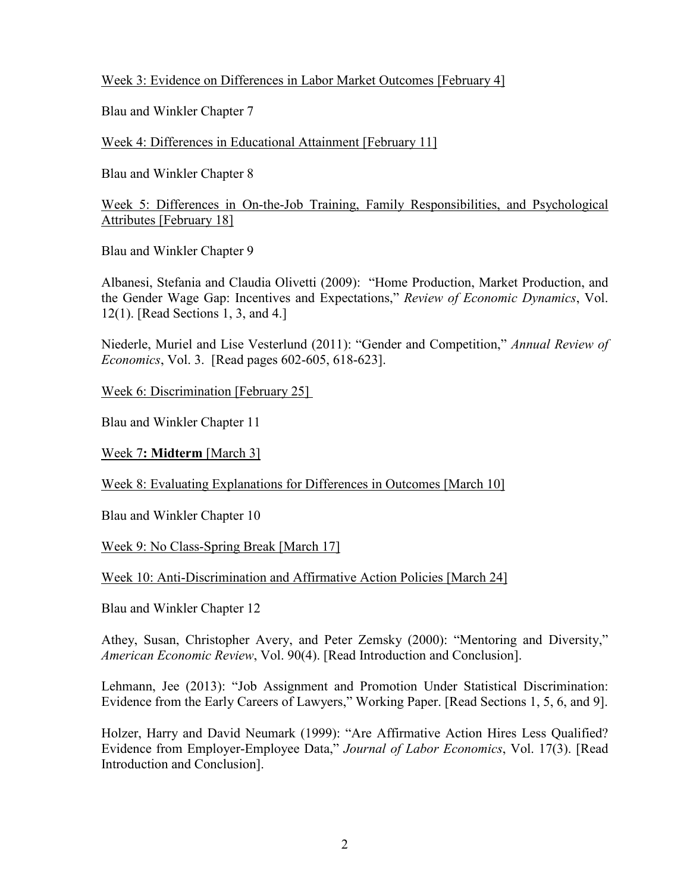## Week 3: Evidence on Differences in Labor Market Outcomes [February 4]

Blau and Winkler Chapter 7

Week 4: Differences in Educational Attainment [February 11]

Blau and Winkler Chapter 8

Week 5: Differences in On-the-Job Training, Family Responsibilities, and Psychological Attributes [February 18]

Blau and Winkler Chapter 9

Albanesi, Stefania and Claudia Olivetti (2009): "Home Production, Market Production, and the Gender Wage Gap: Incentives and Expectations," *Review of Economic Dynamics*, Vol. 12(1). [Read Sections 1, 3, and 4.]

Niederle, Muriel and Lise Vesterlund (2011): "Gender and Competition," *Annual Review of Economics*, Vol. 3. [Read pages 602-605, 618-623].

Week 6: Discrimination [February 25]

Blau and Winkler Chapter 11

Week 7**: Midterm** [March 3]

Week 8: Evaluating Explanations for Differences in Outcomes [March 10]

Blau and Winkler Chapter 10

Week 9: No Class-Spring Break [March 17]

Week 10: Anti-Discrimination and Affirmative Action Policies [March 24]

Blau and Winkler Chapter 12

Athey, Susan, Christopher Avery, and Peter Zemsky (2000): "Mentoring and Diversity," *American Economic Review*, Vol. 90(4). [Read Introduction and Conclusion].

Lehmann, Jee (2013): "Job Assignment and Promotion Under Statistical Discrimination: Evidence from the Early Careers of Lawyers," Working Paper. [Read Sections 1, 5, 6, and 9].

Holzer, Harry and David Neumark (1999): "Are Affirmative Action Hires Less Qualified? Evidence from Employer-Employee Data," *Journal of Labor Economics*, Vol. 17(3). [Read Introduction and Conclusion].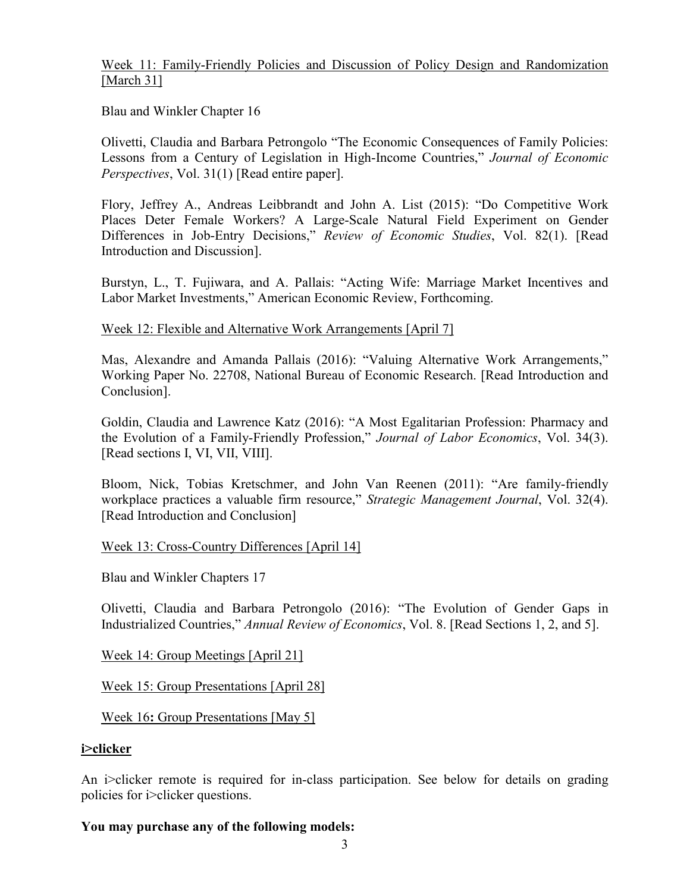## Week 11: Family-Friendly Policies and Discussion of Policy Design and Randomization [March 31]

Blau and Winkler Chapter 16

Olivetti, Claudia and Barbara Petrongolo "The Economic Consequences of Family Policies: Lessons from a Century of Legislation in High-Income Countries," *Journal of Economic Perspectives*, Vol. 31(1) [Read entire paper].

Flory, Jeffrey A., Andreas Leibbrandt and John A. List (2015): "Do Competitive Work Places Deter Female Workers? A Large-Scale Natural Field Experiment on Gender Differences in Job-Entry Decisions," *Review of Economic Studies*, Vol. 82(1). [Read Introduction and Discussion].

Burstyn, L., T. Fujiwara, and A. Pallais: "Acting Wife: Marriage Market Incentives and Labor Market Investments," American Economic Review, Forthcoming.

#### Week 12: Flexible and Alternative Work Arrangements [April 7]

Mas, Alexandre and Amanda Pallais (2016): "Valuing Alternative Work Arrangements," Working Paper No. 22708, National Bureau of Economic Research. [Read Introduction and Conclusion].

Goldin, Claudia and Lawrence Katz (2016): "A Most Egalitarian Profession: Pharmacy and the Evolution of a Family-Friendly Profession," *Journal of Labor Economics*, Vol. 34(3). [Read sections I, VI, VII, VIII].

Bloom, Nick, Tobias Kretschmer, and John Van Reenen (2011): "Are family-friendly workplace practices a valuable firm resource," *Strategic Management Journal*, Vol. 32(4). [Read Introduction and Conclusion]

#### Week 13: Cross-Country Differences [April 14]

Blau and Winkler Chapters 17

Olivetti, Claudia and Barbara Petrongolo (2016): "The Evolution of Gender Gaps in Industrialized Countries," *Annual Review of Economics*, Vol. 8. [Read Sections 1, 2, and 5].

Week 14: Group Meetings [April 21]

Week 15: Group Presentations [April 28]

Week 16**:** Group Presentations [May 5]

#### **i>clicker**

An i>clicker remote is required for in-class participation. See below for details on grading policies for i>clicker questions.

#### **You may purchase any of the following models:**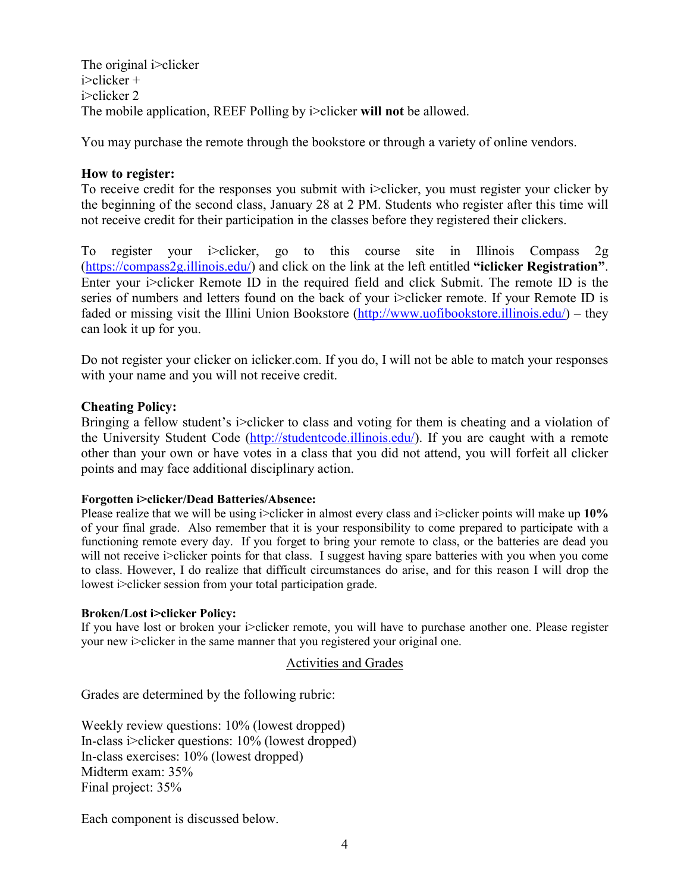The original i>clicker i>clicker + i>clicker 2 The mobile application, REEF Polling by i>clicker **will not** be allowed.

You may purchase the remote through the bookstore or through a variety of online vendors.

## **How to register:**

To receive credit for the responses you submit with i>clicker, you must register your clicker by the beginning of the second class, January 28 at 2 PM. Students who register after this time will not receive credit for their participation in the classes before they registered their clickers.

To register your i>clicker, go to this course site in Illinois Compass 2g [\(https://compass2g.illinois.edu/\)](https://compass2g.illinois.edu/) and click on the link at the left entitled **"iclicker Registration"**. Enter your i>clicker Remote ID in the required field and click Submit. The remote ID is the series of numbers and letters found on the back of your i>clicker remote. If your Remote ID is faded or missing visit the Illini Union Bookstore [\(http://www.uofibookstore.illinois.edu/\)](http://www.uofibookstore.illinois.edu/) – they can look it up for you.

Do not register your clicker on iclicker.com. If you do, I will not be able to match your responses with your name and you will not receive credit.

#### **Cheating Policy:**

Bringing a fellow student's i>clicker to class and voting for them is cheating and a violation of the University Student Code [\(http://studentcode.illinois.edu/\)](http://studentcode.illinois.edu/). If you are caught with a remote other than your own or have votes in a class that you did not attend, you will forfeit all clicker points and may face additional disciplinary action.

#### **Forgotten i>clicker/Dead Batteries/Absence:**

Please realize that we will be using i>clicker in almost every class and i>clicker points will make up **10%** of your final grade. Also remember that it is your responsibility to come prepared to participate with a functioning remote every day. If you forget to bring your remote to class, or the batteries are dead you will not receive i>clicker points for that class. I suggest having spare batteries with you when you come to class. However, I do realize that difficult circumstances do arise, and for this reason I will drop the lowest i>clicker session from your total participation grade.

#### **Broken/Lost i>clicker Policy:**

If you have lost or broken your i>clicker remote, you will have to purchase another one. Please register your new i>clicker in the same manner that you registered your original one.

#### Activities and Grades

Grades are determined by the following rubric:

Weekly review questions: 10% (lowest dropped) In-class i>clicker questions: 10% (lowest dropped) In-class exercises: 10% (lowest dropped) Midterm exam: 35% Final project: 35%

Each component is discussed below.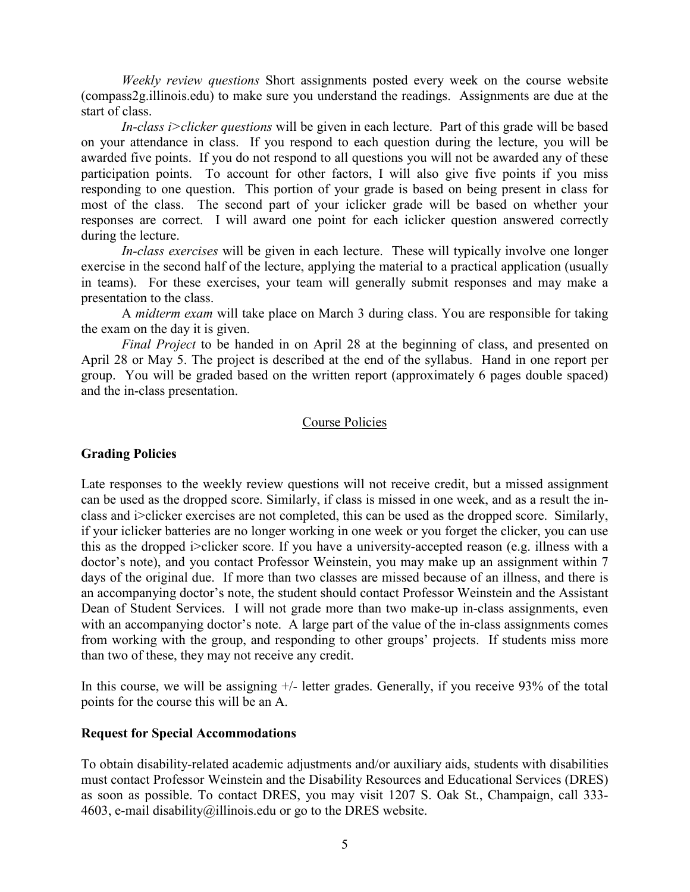*Weekly review questions* Short assignments posted every week on the course website (compass2g.illinois.edu) to make sure you understand the readings. Assignments are due at the start of class.

*In-class i>clicker questions* will be given in each lecture. Part of this grade will be based on your attendance in class. If you respond to each question during the lecture, you will be awarded five points. If you do not respond to all questions you will not be awarded any of these participation points. To account for other factors, I will also give five points if you miss responding to one question. This portion of your grade is based on being present in class for most of the class. The second part of your iclicker grade will be based on whether your responses are correct. I will award one point for each iclicker question answered correctly during the lecture.

*In-class exercises* will be given in each lecture. These will typically involve one longer exercise in the second half of the lecture, applying the material to a practical application (usually in teams). For these exercises, your team will generally submit responses and may make a presentation to the class.

A *midterm exam* will take place on March 3 during class. You are responsible for taking the exam on the day it is given.

*Final Project* to be handed in on April 28 at the beginning of class, and presented on April 28 or May 5. The project is described at the end of the syllabus. Hand in one report per group. You will be graded based on the written report (approximately 6 pages double spaced) and the in-class presentation.

#### Course Policies

### **Grading Policies**

Late responses to the weekly review questions will not receive credit, but a missed assignment can be used as the dropped score. Similarly, if class is missed in one week, and as a result the inclass and i>clicker exercises are not completed, this can be used as the dropped score. Similarly, if your iclicker batteries are no longer working in one week or you forget the clicker, you can use this as the dropped i>clicker score. If you have a university-accepted reason (e.g. illness with a doctor's note), and you contact Professor Weinstein, you may make up an assignment within 7 days of the original due. If more than two classes are missed because of an illness, and there is an accompanying doctor's note, the student should contact Professor Weinstein and the Assistant Dean of Student Services. I will not grade more than two make-up in-class assignments, even with an accompanying doctor's note. A large part of the value of the in-class assignments comes from working with the group, and responding to other groups' projects. If students miss more than two of these, they may not receive any credit.

In this course, we will be assigning +/- letter grades. Generally, if you receive 93% of the total points for the course this will be an A.

#### **Request for Special Accommodations**

To obtain disability-related academic adjustments and/or auxiliary aids, students with disabilities must contact Professor Weinstein and the Disability Resources and Educational Services (DRES) as soon as possible. To contact DRES, you may visit 1207 S. Oak St., Champaign, call 333 4603, e-mail [disability@illinois.edu](mailto:disability@uiuc.edu) or go to the [DRES website.](http://disability.illinois.edu/)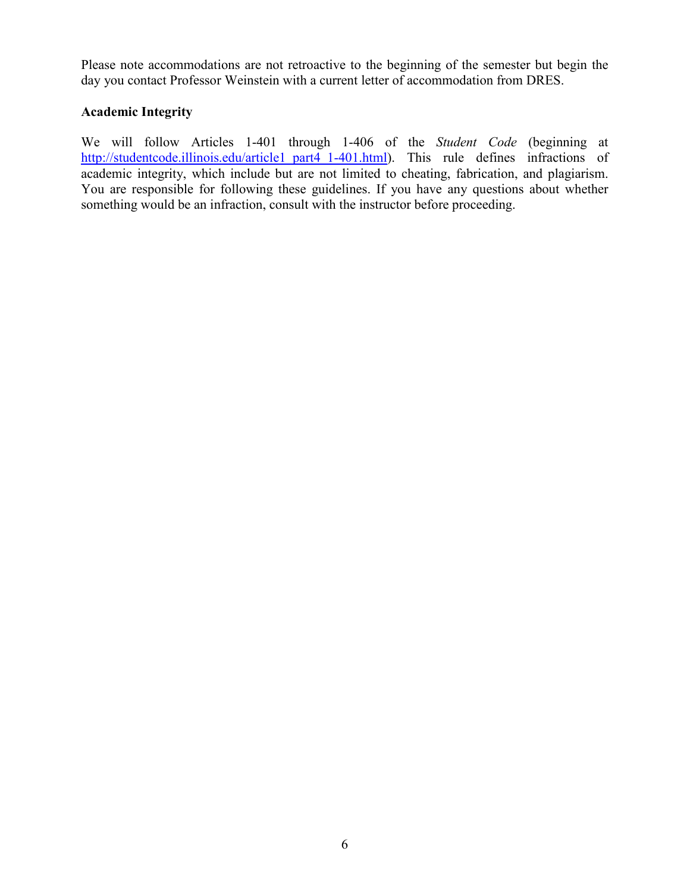Please note accommodations are not retroactive to the beginning of the semester but begin the day you contact Professor Weinstein with a current letter of accommodation from DRES.

## **Academic Integrity**

We will follow Articles 1-401 through 1-406 of the *Student Code* (beginning at [http://studentcode.illinois.edu/article1\\_part4\\_1-401.html\)](http://studentcode.illinois.edu/article1_part4_1-401.html). This rule defines infractions of academic integrity, which include but are not limited to cheating, fabrication, and plagiarism. You are responsible for following these guidelines. If you have any questions about whether something would be an infraction, consult with the instructor before proceeding.